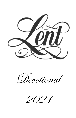

Devotional

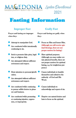

# Fasting Information

#### **Improper Fast Godly Fast**

**Prayer and fasting are improper when they:** 

**Prayer and fasting are godly when they:** 

- $\bullet$ Attempt to manipulate God.
- $\bullet$ Are conducted while intentionally continuing to sin.
- $\bullet$ Seek to promote false piety, legalism, or religious duty.
- $\bullet$ Are attempted without sufficient seriousness and respect.
- $\bullet$ Draw attention to personal glorification.
- $\bullet$ Are attempted without sufficient seriousness and respect.
- Are conducted while continuing to pursue selfish desires in pleasure and business.
- Are conducted while promoting or continuing injustice, oppression, or impropriety.
- Focus on Him and honor Him. (Although you will receive spiritual blessings, these are not proper motives for fasting.)
	- Have spiritual purposes. (Although you may realize certain physical benefits, these are not proper motives for spiritual fasting, e.g. for weight-loss purposes.)
	- Causes individuals to humble themselves and submit to the authority of God and His Word.
- Causes individuals to acknowledge and repent of sin.
- Deprive our natural desires and lusts to focus on the spiritual.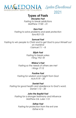



### *Types of Fasts*

*Disciples Fast*

*Fasting to break addictions Matthew 17:20 – 21*

#### *Ezra Fast*

*Fasting to solve problems and seek protection Ezra 8:21-23*

#### *Samuel Fast*

*Fasting to win people to Christ and to get God to pour Himself out on mankind I Samuel 7:1 – 8*

#### *Elijah Fast*

*Fasting to break yokes I King 19:2-18*

#### *Widow's Fast*

*Fasting so the needs of others are met I Kings 17:12*

#### *Pauline Fast*

*Fasting for wisdom and insight from God Acts 9:19 – 20*

#### *Daniel Fast*

*Fasting for good health and obedience to God's word. Daniel 1:12 – 20*

#### *John the Baptist Fast*

*Fasting for a stronger testimony and influence Matthew 3:4, Luke 1:15*

#### *Esther Fast*

*Fasting for protection from the evil one Esther 4:16*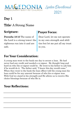

## Day 1

### Title: A Strong Name

#### **Scripture:**

Proverbs 18:10 The name of the Lord is a strong tower; the righteous run into it and are safe.

### **Prayer Focus:**

Dear Lord, let me not operate in my own strength and abilities but let me put all my trust in you.

### **For Your Consideration:**

A young man went to the bank one day to secure a loan. He had never had any credit and needed a co-signer. He thought long and hard on who the co-signer could be. He went to his father to ask him if he would do it. The father said, "I knew this day would come." When they went to the bank the loan officer told the young man his loan could be for any amount because of who his co-signer was. With God we stand in his strength and He allows us to receive His choice blessings because of who He is.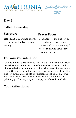

## Day 2

### Title: Choose Joy

### **Scripture:**

Nehemiah 8:10 Do not grieve, for the joy of the Lord is your strength.

#### **Prayer Focus:**

Dear Lord, let me find joy in you. Although my circumstances and trials are many I rejoice in having you as my Lord and Savior.

#### **For Your Consideration:**

Grief is a natural response to lost. We all know that we grieve over the death of our loved ones but we also grieve at the loss of jobs, relationships and even things that were of great value to us. Grief is natural but so is joy. It is sometimes difficult to find joy in the midst of life circumstances but at all times we must trust Him. You have a choice you must make daily grief or joy! The only way to have joy is to have it in Christ!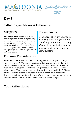

## Day 3

### Title: Prayer Makes A Difference

### **Scripture:**

Phillipians 4:6-7 Do not be anxious about anything, but in everything by prayer and supplication with thanksgiving let your requests be made known to God. And the peace of God, which surpasses all understanding, will guard your hearts and your minds in Christ Jesus

**For Your Consideration:**

### **Prayer Focus:**

Dear Lord, allow my prayer to be strengthen as I grow in my knowledge and understanding of you. It is my desire to pray about everything and worry about nothing.

#### What will tomorrow hold? What will happen to you in your heath, finances or career? These are questions all of us grapple with daily. If left unchecked they can and will cause us undue stress and problems. If we shouldn't worry about these things what should we do? Pray about them! Yes, pray about every little thing you can think of. Never think that your prayer is a waste of time or that God is unconcerned. His desire is that you live a life free of worry and stress and put all your trust and care in Him. He has never and will never fail you!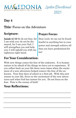

### Day 4

### Title: Focus on the Adventure

### **Scripture:**

Isaiah 41:10 So do not fear, for I am with you; do not be dismayed, for I am your God. I will strengthen you and help you; I will uphold you with my righteous right hand.

### **Prayer Focus:**

Dear Lord, let me not be found fearful in anything but in your power and strength achieve all that you have predestined for me!

### **For Your Consideration:**

With new things comes the fear of the unknown. It is human nature to be afraid of the things we have yet to experience. If you reflect back on your life there were times when the excitement of a new adventure helped remove the fear of the unknown. Your first days of school or a first job. With this new season in your life, focus on the excitement of the new adventures and what God has instore for you. Do not focus on the fear. Fear is the enemy of faith!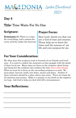



### Day 5

### Title: Time Waits For No One

### **Scripture:**

Ecclesiastes 3:1 There is a time for everything, and a season for every activity under the heavens:

### **Prayer Focus:**

Dear Lord, thank you that you are a God of time and seasons. Please help me to know the times and the seasons of my life and your purpose for me.

### **For Your Consideration:**

We often hear this scripture read at funerals of our friends and loved ones. It is used to comfort the mourners as they grapple with the death of their loved one. Many times we focus on the scripture about living and dying but the scripture also outlines the time when other things. What we must do is focus on the succeeding scriptures as well. We must plant, harvest, build, tear down, mourn and dance. Neither of these extremes should be a place where ones stays. There are times for all emotions and actions. Make it a priority to not dwell on the negative too long. Ask God to help you deal with life's circumstances.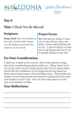

## Day 6

### Title: I Shall Not Be Moved!

### **Scripture:**

Psalm 55:22 Cast your burden on the Lord, And He shall sustain you; He shall never permit the righteous to be moved.

### **Prayer Focus:**

My God and my father I want you to cast all my cares, concerns, issues and problems unto you. I want to learn to trust you in all things and not to try to handle things on my own.

#### **For Your Consideration:**

I shall not, I shall not be moved. One of the spiritual songs that have sustained generations before us. Many times we focus on the virtue of not being moved only, but we must understand that the confidence in not being moved was based on their unwavering trust in God and Him alone. Their faith and resolve to not being moved was based on casting all their cares and burdens on the Lord. You can have this peace as well cast your burdens on Him.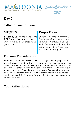

## Day 7

### Title: Pursue Purpose

#### **Scripture:**

Psalms 33:11 But the plans of the LORD stand firm forever, the purposes of his heart through all generations.

#### **Prayer Focus:**

Oh God My Father, I know that the plans and purpose you have for my life. Continue to speak to me in this season and for my life. Let me clearly hear Your voice and direction for my life.

### **For Your Consideration:**

What on earth are you here for? That is the question all people ask as we seek to ensure that our life will have an eternal meaning beyond the years that we live. The greatest joy any of us can have is that the plans and purposes of God supersede our actions and failures. In spite of our shortcoming the calling, plans and purposes of God are without repentance. At this point in your life, don't allow the enemy or even yourself to talk you out of God's purpose for your life. It is time now to get busy pursing your purpose!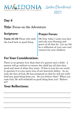

## Day 8

### Title: Focus on the Adventure

### **Scripture:**

Psalm 34:10b Those who seek the Lord lack no good thing.

### **Prayer Focus:**

Oh God, today I seek your face and ask your blessing and grace of all that do. Let my life be a reflection of your care and concern for your children.

### **For Your Consideration:**

There is no greater love than that of a parent and a child. A parent will go without to ensure the child has all that they need and most of what they want. If this is true for our earthly parents it is even more true of our heavenly father. As we seek the face of God, He has promised us that he will not withhold any good thing from you. Do you believe that? When you seek God, He will withhold no good thing from you! Believe it!!!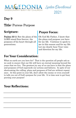

## Day 9

### Title: Pursue Purpose

#### **Scripture:**

Psalms 33:11 But the plans of the LORD stand firm forever, the purposes of his heart through all generations.

#### **Prayer Focus:**

Oh God My Father, I know that the plans and purpose you have for my life. Continue to speck to me in this season and for my life. Let me clearly hear Your voice and direction for my life.

### **For Your Consideration:**

What on earth are you here for? That is the question all people ask as we seek to ensure that our life will have an eternal meaning beyond the years that we live. The greatest joy any of us can have is that the plans and purposes of God supersede our actions and failures. In spite of our shortcoming the calling, plans and purposes of God are without repentance. At this point in your life, don't allow the enemy or even yourself to talk you out of God's purpose for your life. It is time now to get busy pursing your purpose!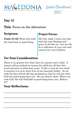

## Day 10

### Title: Focus on the Adventure

### **Scripture:**

Psalm 34:10b Those who seek the Lord lack no good thing.

### **Prayer Focus:**

Oh God, today I seek your face and ask your blessing and grace of all that do. Let my life be a reflection of your care and concern for your children.

### **For Your Consideration:**

There is no greater love than that of a parent and a child. A parent will go without to ensure the child has all that they need and most of what they want. If this is true for our earthly parents it is even more true of our heavenly father. As we seek the face of God, He has promised us that he will not withhold any good thing from you. Do you believe that? When you seek God, He will withhold no good thing from you! Believe it!!!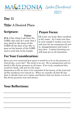

### Day 11

### Title: A Desired Place

#### **Scripture:**

#### Psalms

27:4 4 One thing I ask from the LORD, this only do I seek: that I may dwell in the house of the LORD all the days of my life, to gaze on the beauty of the LORD and to seek him in his temple.

### **Prayer Focus:**

Oh Lord, our Lord, How excellent is thy name. As I seek your face in your temple I realize your love and care for me surpasses all worry, disappointment and trials I may face. I rejoice knowing you will keep me in all situations.

### **For Your Consideration:**

Have you ever concerned how great it would be to be in the presence of God all day, every day? The truth is we are. He is omnipresent and we dwell in His divine presence at all times. If we truly considered this, would we think, talk and act the same.

Sometimes in life we have to be reminded of the beauty of the Lord and all His wondrous acts toward us. When we consider all that He has done it should cause us to rejoice and declare that our desire is to be in His divine presence now and always.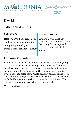

## Day 12

### Title: A Test of Faith

### **Scripture:**

Hebrews 10:32 But remember the former days, when, after being enlightened, you endured a great conflict of sufferings,

### **Prayer Focus:**

You are my God and my strength. I depend on you for the strength, courage and grace to endure all of life's journey.

### **For Your Consideration:**

Sometimes it is good to look back but be careful when gazing in the rear view mirror as things sometimes aren't remembered as they occurred. All of us can remember a time when our desire was to grow closer to God but do you remember what happened after that. Quite possibly all hell broke loose. The devil has always hated for believers to have a close walk with God but we must strive to please God in spite of. The trials, tribulations and struggles were just a test.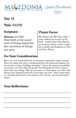

### Day 13

### Title: FAITH

### **Scripture:**

Hebrews 11:1 ESV Now faith is the assurance of things hoped for, the conviction of things not seen.

### **Prayer Focus:**

My Father and My God, today I come asking you to stir up my faith. I know that faith pleases you and my desire is that I operate in faith and obedience to You and Your Word.

### **For Your Consideration:**

Have you ever researched how an internal combustible engine works? Have you taken the time to understand how the beam and support system works to keep a building standing? I know the answer is probably no because you trust that the people who designed and built it knew what they were doing. Why do you worry so much about your life? The Person who designed and built it will take care of it. That's what faith is—trusting that what it was made to do it will do. Do you have faith today?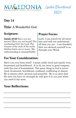

### Day 14

### Title: A Wonderful God

### **Scripture:**

Isaiah 40:28 Have you not known? Have you not heard? The everlasting God, the Lord, The Creator of the ends of the earth, Neither faints nor is weary. His understanding is unsearchable.

#### **Prayer Focus:**

Lord, I can search for all enternity and still not understand all that you are. I am thankful that you showed yourself to us through your Word.

### **For Your Consideration:**

Have you ever been tired? I mean really tired and maybe even frustrated and bewildered. It is ok you were in good company with the rest of humankind. The great thing is God is never tired, frustrated, bewildered, confused, conflicting or absent. He is always alert, present and powerful. He is so alert that He sees you have no strength he will give it to you just when you need it the most.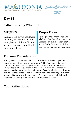

### Day 15

### Title: Knowing What to Do

#### **Scripture:**

James 1:5 If any of you lacks wisdom, let him ask of God, who gives to all liberally and without reproach, and it will be given to him.

### **Prayer Focus:**

Lord I pray for knowledge and wisdom. Let the mind that is in Christ be in mind. I pray that I make Godly decisions and that they all be pleasing in your sight.

### **For Your Consideration:**

Have you ever wondered what's the difference in knowledge and wisdom? What's all the fuss about anyway? That's an age old question with a simple answer. My grandfather broke it down like this knowledge is what you know and wisdom is how you use what you know. In other words we have all heard of people who have book sense but no common sense. That means they have the knowledge but not he wisdom. Both are vitally important. Wisdom is earned while knowledge is gained. You may have to catch that in your driveway.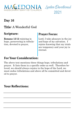

## Day 16

### Title: A Wonderful God

### **Scripture:**

Romans 12:12 rejoicing in hope, persevering in tribulation, devoted to prayer,

#### **Prayer Focus:**

Lord, I take pleasure in the joy and hope of my salvation. I rejoice knowing that my trials are temporary and your joy is eternal.

### **For Your Consideration:**

The above text mentions three things hope, tribulations and prayer. It lists them in a specific order as well. Therefore beloved, we should always rejoice in the hope of the Lord, we must endue tribulations and above all be committed and devoted to prayer.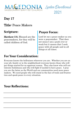

### Day 17

### Title: Peace Makers

#### **Scripture:**

Matthew 5:9, Blessed are the peacemakers, for they will be called children of God.

#### **Prayer Focus:**

Lord let me a peace maker as you were a peacemaker. That does not mean I am a push over or weak but it means that I seek peace with all people and in all things at all times.

### **For Your Consideration:**

Everyone knows the hellraisers wherever you are. Whether you are on your job, family or in the neighborhood everyone knows those who will get things started for no apparent reason. They also know who will not tolerate foolishness and who will fight if needed to have peace. I pray you are the latter as the World and our communities need more peace makers. We need people who will stand in the face of trails and frustration and speak peace to every situation.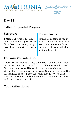



### Day 18

### Title: Purposeful Prayers

### **Scripture:**

I John 5:14 This is the confidence we have in approaching God: that if we ask anything according to his will, he hears us.

### **Prayer Focus:**

Father God I come to you in faith knowing that whatever I ask in your name and in accordance with your will shall be done. It is so!

### **For Your Consideration:**

There are those who say they can name it and claim it. Well we've seen how that has worked out. What we can do is seek God, study and know His word and pray in confidence that God will hear and answer our prayer. God is an awesome God. All you have to do is know the Word, pray the Word and believe the Word and you can name it and claim it as the Word will not return to him void.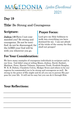

### Day 19

### Title: Be Strong and Courageous

#### **Scripture:**

Joshua 1:9 Have I not commanded you? Be strong and courageous. Do not be terrified; do not be discouraged, for the LORD your God will be with you wherever you go.

### **Prayer Focus:**

Lord give me Holy boldness to walk into everything you have destined for me. I am not afraid of the tricks of the enemy for they shall not prosper!

### **For Your Consideration:**

We have many examples of courageous individuals in scripture and in our lives. God didn't stop at telling Moses, Joshua, David, Ezekiel., Matthew, Peter, Harriet Tubman, Sojourner Truth, Fredrick Douglas, W. E. B. Dubois, Claudette Colvin, Medgar Evers and others to be courageous he commanded you to be strong and courageous as well. Be strong in the power of His might and do all you can to pursue His purpose for your life. It will not be easy but you can do it through Him.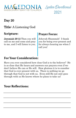

## Day 20

### Title: A Listening God

### **Scripture:**

Jeremiah 29:12 Then you will call on me and come and pray to me, and I will listen to you.

#### **Prayer Focus:**

Jehovah Shammah! I thank you for being ever present and for always hearing me when I call you!

### **For Your Consideration:**

Have you ever considered how close God is to the believer? He is so close that He hears and answers our prayers even if we don't believe He can or He will. How glorious it is to consider that God is ever present with us. There is nothing we go through that God is not with us. Even still He not only goes through with us He knows where he plans to take us!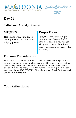

### Day 21

### Title: You Are My Strength

#### **Scripture:**

Ephesians 6:10, Finally, be strong in the Lord and in His mighty power.

### **Prayer Focus:**

Lord, there is no searching of your promise of strength all I have to do is ask of you and you will grant it to me. Lord I ask that you grant me strength today and always.

### **For Your Consideration:**

Paul wrote to the church at Ephesus about a variety of things. After telling them to put on the whole armor of God he ends it by saying finally be strong on the Lord. What an awesome command to the believer and to all of us. Be strong! He didn't say try to be strong or I hope you are strong he said BE STRONG! If you lack strength ask for it and God will freely give it to you!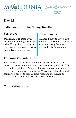

## Day 22

### Title: We're In This Thing Together

### **Scripture:**

Colossians 3:13 Bear with

each other and forgive one another if any of you has a grievance against someone. Forgive as the Lord forgave you.

### **Prayer Focus:**

Oh Lord I pray that you give me the strength and wisdom to forgive my neighbors as you have so freely forgiven me.

### **For Your Consideration:**

Life is hard! Let me say that again—LIFE IS HARD. It doesn't come with a instruction book or a user guide it is OJT (on the job training). People will make mistakes and sometimes those mistakes can hurt us. We cannot allow the shortcomings of others to stop us from receiving the blessings of God. Forgive them as Christ has forgiven you.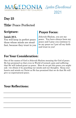

### Day 23

### Title: Peace Perfected

#### **Scripture:**

#### Isaiah 26:3,

You will keep in perfect peace those whose minds are steadfast, because they trust in you

### **Prayer Focus:**

Jehovah Shalom, you are my peace. You have always been my peace and I pray you continue to be my peace as I put all my faith and trust in you!

### **For Your Consideration:**

One of the names of God is Jehovah Shalom meaning the God of peace. He has promised us that even in World of turmoil, pain and suffering that He will indeed grant us peace. How do we get this peace you might ask—we obtain it by guarding our minds and our thoughts. Keep your hearts and minds on Christ as He has promised that we do that He will give us supernatural peace.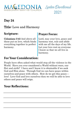

## Day 24

### Title: Love and Harmony

### **Scripture:**

Colossians 3:43 And above all these put on love, which binds everything together in perfect harmony.

### **Prayer Focus:**

Lord, may your love, peace and harmony rest, rule and abide with me all the days of my life. Let your love rest on everyone I know so that we all live in harmony.

### **For Your Consideration:**

People have often asked what would stop all the violence in the World. Have you ever considered a World without wars, conflict and strife? I have and I know it is obtainable if we seek God and Him alone. Through God we can have peace within ourselves and peace with others. How do we get this peace love! Love God and love ourselves then we will be able to love others and peace will reign.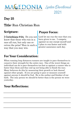

### Day 25

### Title: Run Christian Run

#### **Scripture:**

I Corinthians 9:24, Do you not know that those who run in a race all run, but only one receives the prize? Run in such a way that you may win.

### **Prayer Focus:**

Lord let me run the race that you have given to me. I compete against no one except myself and I plan to run faster and with greater assurance each day.

### **For Your Consideration:**

When running long distances runners are taught to pace themselves to conserve their strength for the entire race. One of the worst things an individual can do is pace themselves too fast or against a runner who is faster than them and they end up not being able to finish the race. Many believers do this by measuring their growth or lack thereof against other people. If you are going to pace or measure yourself against anyone it should be God. He is the author and finisher of our faith. The only person we should be better than is the person we were yesterday.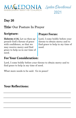

## Day 26

### Title: Our Posture In Prayer

### **Scripture:**

Hebrews 4:16, Let us then approach God's throne of grace with confidence, so that we may receive mercy and find grace to help us in our time of need.

### **Prayer Focus:**

Lord, I come boldly before your throne to obtain mercy and to find grace to help in my time of need.

### **For Your Consideration:**

Lord, I come boldly before your throne to obtain mercy and to find grace to help in my time of need.

What more needs to be said. Go in peace!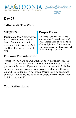

## Day 27

### Title: Walk The Walk

#### **Scripture:**

Philippians 4:9, Whatever you have learned or received or heard from me, or seen in me—put it into practice. And the God of peace will be with you.

### **Prayer Focus:**

My Father and My God let me practice what I preach, sing and pray. Please Lord allow me to be a living Epistle so that men may come into the saving knowledge of Christ through my witness.

### **For Your Consideration:**

Consider your ways and what impact they might have on others. The Apostle Paul admonishes us to follow his lead. People cannot follow you if you are not actually leading. As believers we are suppose to ensure our lives in such a way that people will see God in us. What would Christ say if he examined our lives? Would He see us as an example of Him or would we look like the world?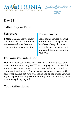

### Day 28

### Title: Pray in Faith

### **Scripture:**

I John 5:15, And if we know that he hears us—whatever we ask—we know that we have what we asked of him.

### **Prayer Focus:**

Lord, thank you for hearing and answering our prayers. You have always listened attentively to my prayers and answered them according to your will.

### **For Your Consideration:**

Have you ever considered how great it is to have a God who hears and answers prayers? What a mighty God we serve! I know for years we thought that prayer had to be dramatic and thematic but it is not. Your prayers are based on your faith and trust in Him not how well you speak or the words you use. If you expect your prayers to mean anything to God they must mean everything to you!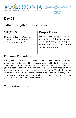

### Day 29

### Title: Strength for the Journey

#### **Scripture:**

Psalm 18:32, It is God who arms me with strength and makes my way perfect.

### **Prayer Focus:**

Father God thank you for knowing my faults, failure and shortcoming and giving me strength to endure. I also thank you that my way is known to you.

### **For Your Consideration:**

Have you ever felt weak? You are not alone. In fact Christ Himself felt weak in the garden when He felt disconnect from His Father for the first time. He did just what we must do at those time—PRAY. When you are weak is the perfect time to pray. Tell God how you feel and that you need more strength and help to make it through. He will do for you what He did for Jesus and give you what you need for the journey. Afterall as the scripture says He knows the path you are on and has given you everything you need to be successful.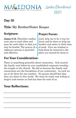

## Day 30

### Title: My Brother/Sister Keeper

### **Scripture:**

James 5:16, Therefore confess your sins to each other and pray for each other so that you may be healed. The prayer of a righteous person is powerful and effective.

### **Prayer Focus:**

Lord, help me to be a true believer and be there to help my brother and sister in their time of need. Give me wisdom to help them be restored to the place you intend for them to

### **For Your Consideration:**

There is something powerful about connection. God created the family unit before he ever established corporate worship, the temple or the church. He did so because the family and connections are the foundation of our community. As such we are to be there for one another. No person should feel that they are alone in this world. We must be ready and willing to forgive and restore as God has done for each of us.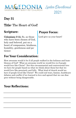

## Day 31

### Title: The Heart of God!

#### **Scripture:**

Colossians 3:12, So, as those who have been chosen of God, holy and beloved, put on a heart of compassion, kindness, humility, gentleness and patience;

### **Prayer Focus:**

Lord give us your heart!

### **For Your Consideration:**

How awesome would it be if all people walked in the holiness and humbleness of God? What an awesome world we would live in if people would love like Christ? Not this circumstantial and controversial love we have for people based on what we think about them but that we would love like genuinely and fully. What kind of church would we have if people loved like Christ? We could end wars, famine, healthcare debates and conflict if we learned to love and agreed that we can disagree without being disagreeable.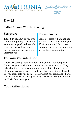

## Day 32

### Title: A Love Worth Sharing

### **Scripture:**

Luke 6:27-28, But to you who are listening I say: Love your enemies, do good to those who hate you, bless those who curse you, pray for those who mistreat you

#### **Prayer Focus:**

Lord, I confess it I am not perfect but I want to love like you. Work on me until I can love everyone including my enemies as you have commanded.

### **For Your Consideration:**

There are some people who don't like you just for being you. There are people who hate you for no apparent reason. They talk about you, lie on you and make your life difficult. It is cleansing to acknowledge it and then lay them at the altar. It is even more difficult then to do as Christ has commanded and that is to love them. Not just in lip service but truly love them as Christ has loved you.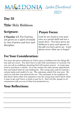

### Day 33

### Title: Holy Boldness

#### **Scripture:**

2 Timothy 1:7, For God has not given us a spirit of timidity, but of power and love and discipline.

#### **Prayer Focus:**

Lord let me stand in your presence as a proud child and not a meek slave. You have given me boldness to pray and operate in the gift you have given me. Lord, please never allow me to forget!

### **For Your Consideration:**

You have the given authority by God to pray in boldness for the things He has said are yours. You don't have to ask with uncertainty or curiosity but you can ask in confidence knowing God will answer prayer. A young man went to purchase a vehicle. As is the custom the sales person approached him and asked what he was looking for. The young man said he wanted a certain make and model of a car. The salesman asked if he was sure. He said yes and then was showed the car. The salesman in his tradition let him know about other less expensive cars the young man said I know what I came to get and I have a check to pay for it. Don't let life, people or circumstances talk you out of what has promised you.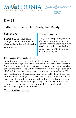

### Day 34

### Title: Get Ready, Get Ready, Get Ready

### **Scripture:**

I Peter 4:7, The end of all things is near. Therefore be alert and of sober mind so that you may pray.

### **Prayer Focus:**

Lord, let me prepare myself and others for your imminent return. Let us be serious about your business knowing that time is short for us to prepare the hearts of man to receive you.

### **For Your Consideration:**

Sometimes we can get so content with life and the way things are going that we forget Jesus is soon to come. You heard that correctly Christ is coming again and very soon. Don't let Him catch you with your works undone. As a child my father worked the night shift and didn't ask for much except a clean house when he came home. We knew to clean it up before midnight as he would be home from work around 12:30. One night the house was in a mess and around 11 the door opened. He walked in from work and was very disappointed in the house. We said we would get it together in a few minutes. He reminded us if we kept it clean we wouldn't be caught with a dirty house. What a profound statement!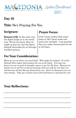

### Day 35

### Title: He's Praying For You

#### **Scripture:**

Romans 8:26, In the same way, the Spirit helps us in our weakness. We do not know what we ought to pray for, but the Spirit himself intercedes for us through wordless groans.

### **Prayer Focus:**

Lord I must confess that sometimes in life I grow weak and need your strength. I am grateful that you make intercession for me at all times.

### **For Your Consideration:**

What do you do when you need help? Who helps the helper? It is God Himself that makes intercession for you at all times. You may not know you are in need of strength, peace or joy but He does. Because he knows you so well he is always praying with you and for you that you will become all that He has planned for you. Don't be dismayed you are only human. Take joy in know your Lord and Savior is praying for you!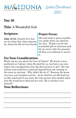

### Day 36

### Title: A Wonderful God

### **Scripture:**

John 15:13, Greater love has no one than this, that someone lay down his life for his friends

#### **Prayer Focus:**

Oh Lord what a great sacrifice you made when you died for my sins. Thank you for the wonderful gift of salvation and let me never take for granted all that you endured to secure it.

#### **For Your Consideration:**

What can we say about the love of Christ? We know it was perfected on Calvary when He died for us, but have you ever taken into consideration that He did not have to die? He was sinless and could have removed himself from the beating or the cross at anytime. Why didn't He do it? Because He knew you (yes, you) needed a savior. As he died for you He had you on His mind and if you were the only person who needed salvation He would have died just for you! He is worthy to be praised!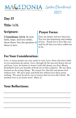

## Day 37

### Title: LOL

#### **Scripture:**

I Corinthians 13:13, So now faith, hope, and love abide, these three; but the greatest of these is love.

#### **Prayer Focus:**

God, my father and my first love. You are the beginning and ending of love. Teach me to love like you and be all that you have called me to be.

### **For Your Consideration:**

Love, so many people use your name in vain. Love, those who have faith in you sometimes go astray. Love, through all the ups and downs the joy and hurt. Love, for better or worse I still will choose you first. Musiq Soulchild's lyrics are breathe of fresh air on this scripture. We are often focused on the wrong things. We cannot live this life and please God without love. We have hope and faith but without love these mean nothing. We must do all we can to ensure that we love like Christ. Remember love is an action word. Show it!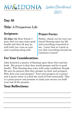

## Day 38

### Title: A Prosperous Life

### **Scripture:**

III John 1:2, Dear friend, I pray that you may enjoy good health and that all may go well with you, even as your soul is getting along well.

### **Prayer Focus:**

Father, thank you for your continual blessing upon my life and everything connected to me. I pray that as I grow in you that everything around me continues to grow!

### **For Your Consideration:**

John bestowes a prayer of blessing upon those who read his book. His prayer is that they would prosper and be in good health. This blessing does come with some conditions though. He says he prayers that they prosper as their soul prospers. How does your soul prosper? Your soul prospers as it grows and it grows when it is feed the word of God continually. This is a great prayer and promise to claim just ensure you hold your end of the promise.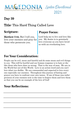

### Day 39

### Title: This Hard Thing Called Love

#### **Scripture:**

Matthew 5:44, But I tell you, love your enemies and pray for those who persecute you.

#### **Prayer Focus:**

Lord help me to live and love like you. My desire is to genuinely love everyone as you have loved us with an everlasting love.

### **For Your Consideration:**

People can be evil, mean and hateful and do some mean and evil things to you. This will be hurtful and our human response is to hate or dislike those who have done us wrong. That is the way of man. We are in the World but not of this World. Love is an action word and you can't love what you dislike. We are commanded and expected to love everyone especially our enemies. Throughout this journey of fasting and prayer you have to confront your own issues. If one of those was unforgiveness of your enemies now is the time to forgive them and love them so that you can be an example of the love of God!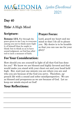

## Day 40

### Title: A High Mind

### **Scripture:**

Romans 12:3, For through the grace given to me I say to everyone among you not to think more highly of himself than he ought to think; but to think so as to have sound judgment, as God has allotted to each a measure of faith.

#### **Prayer Focus:**

Lord, guard my heart and my mind so that I do all to please you. My desire is to be humble so that you can use me for your glory!

### **For Your Consideration:**

How should you see yourself in light of all that God has done for you? We know we are blessed and highly favored and that would make you stand with your chest out and your head held high. But, wait just one minute you are where you are and who you are because of the God you serve. Therefore, approach life with a sound and sober mind/perspective. We are as blessed and prosperous as we are because of God. Let us keep our minds stayed on God!